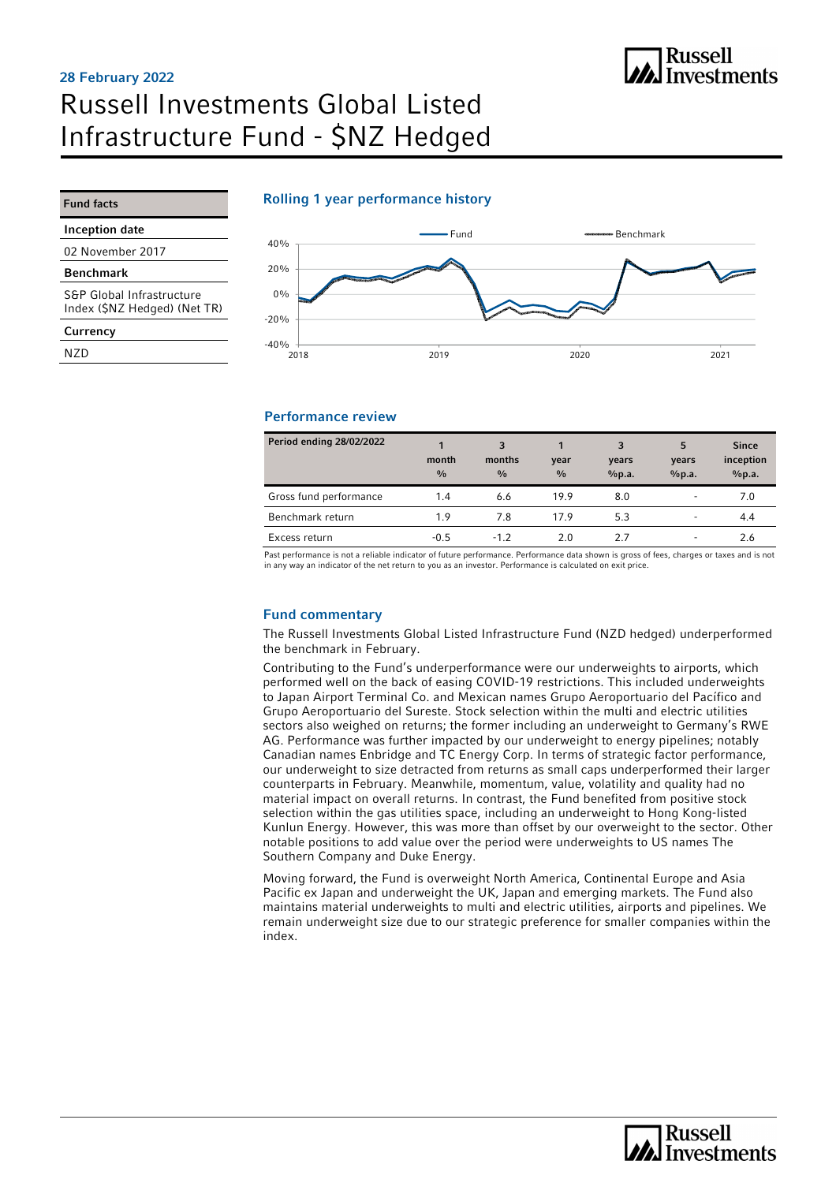# Russell Investments Global Listed Infrastructure Fund - \$NZ Hedged 28 February 2022

**All Russell**<br>All Investments

### Rolling 1 year performance history

Inception date

Fund facts

02 November 2017

Benchmark

S&P Global Infrastructure Index (\$NZ Hedged) (Net TR)

**Currency** 

N<sub>7</sub>D



#### Performance review

| Period ending 28/02/2022 | month<br>$\frac{0}{0}$ | 3<br>months<br>$\frac{0}{0}$ | year<br>$\frac{0}{0}$ | 3<br>years<br>%p.a. | 5<br>years<br>%p.a.      | <b>Since</b><br>inception<br>%p.a. |
|--------------------------|------------------------|------------------------------|-----------------------|---------------------|--------------------------|------------------------------------|
| Gross fund performance   | 1.4                    | 6.6                          | 19.9                  | 8.0                 | $\overline{\phantom{a}}$ | 7.0                                |
| Benchmark return         | 1.9                    | 7.8                          | 179                   | 5.3                 | $\overline{\phantom{0}}$ | 4.4                                |
| Excess return            | $-0.5$                 | $-1.2$                       | 2.0                   | 27                  | $\overline{\phantom{a}}$ | 2.6                                |

Past performance is not a reliable indicator of future performance. Performance data shown is gross of fees, charges or taxes and is not<br>in any way an indicator of the net return to you as an investor. Performance is calcu

#### Fund commentary

The Russell Investments Global Listed Infrastructure Fund (NZD hedged) underperformed the benchmark in February.

Contributing to the Fund's underperformance were our underweights to airports, which performed well on the back of easing COVID-19 restrictions. This included underweights to Japan Airport Terminal Co. and Mexican names Grupo Aeroportuario del Pacífico and Grupo Aeroportuario del Sureste. Stock selection within the multi and electric utilities sectors also weighed on returns; the former including an underweight to Germany's RWE AG. Performance was further impacted by our underweight to energy pipelines; notably Canadian names Enbridge and TC Energy Corp. In terms of strategic factor performance, our underweight to size detracted from returns as small caps underperformed their larger counterparts in February. Meanwhile, momentum, value, volatility and quality had no material impact on overall returns. In contrast, the Fund benefited from positive stock selection within the gas utilities space, including an underweight to Hong Kong-listed Kunlun Energy. However, this was more than offset by our overweight to the sector. Other notable positions to add value over the period were underweights to US names The Southern Company and Duke Energy.

Moving forward, the Fund is overweight North America, Continental Europe and Asia Pacific ex Japan and underweight the UK, Japan and emerging markets. The Fund also maintains material underweights to multi and electric utilities, airports and pipelines. We remain underweight size due to our strategic preference for smaller companies within the index.